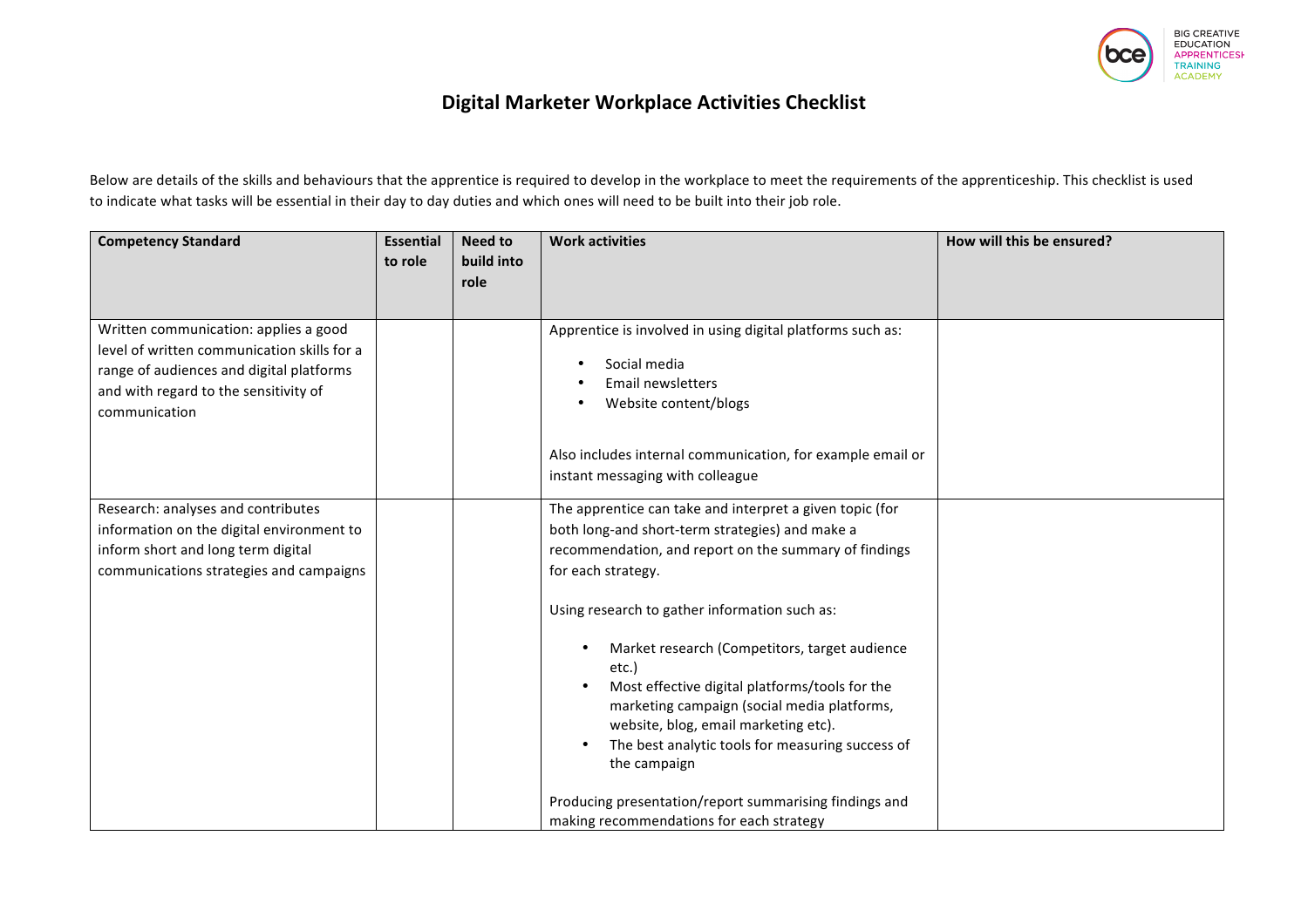

## **Digital Marketer Workplace Activities Checklist**

Below are details of the skills and behaviours that the apprentice is required to develop in the workplace to meet the requirements of the apprenticeship. This checklist is used to indicate what tasks will be essential in their day to day duties and which ones will need to be built into their job role.

| <b>Competency Standard</b>                                                                                                                                                                 | <b>Essential</b><br>to role | Need to<br>build into<br>role | <b>Work activities</b>                                                                                                                                                                                                                                                                                                                                                                                                                                                                                             | How will this be ensured? |
|--------------------------------------------------------------------------------------------------------------------------------------------------------------------------------------------|-----------------------------|-------------------------------|--------------------------------------------------------------------------------------------------------------------------------------------------------------------------------------------------------------------------------------------------------------------------------------------------------------------------------------------------------------------------------------------------------------------------------------------------------------------------------------------------------------------|---------------------------|
| Written communication: applies a good<br>level of written communication skills for a<br>range of audiences and digital platforms<br>and with regard to the sensitivity of<br>communication |                             |                               | Apprentice is involved in using digital platforms such as:<br>Social media<br><b>Email newsletters</b><br>Website content/blogs<br>Also includes internal communication, for example email or<br>instant messaging with colleague                                                                                                                                                                                                                                                                                  |                           |
| Research: analyses and contributes<br>information on the digital environment to<br>inform short and long term digital<br>communications strategies and campaigns                           |                             |                               | The apprentice can take and interpret a given topic (for<br>both long-and short-term strategies) and make a<br>recommendation, and report on the summary of findings<br>for each strategy.<br>Using research to gather information such as:<br>Market research (Competitors, target audience<br>etc.)<br>Most effective digital platforms/tools for the<br>marketing campaign (social media platforms,<br>website, blog, email marketing etc).<br>The best analytic tools for measuring success of<br>the campaign |                           |
|                                                                                                                                                                                            |                             |                               | Producing presentation/report summarising findings and<br>making recommendations for each strategy                                                                                                                                                                                                                                                                                                                                                                                                                 |                           |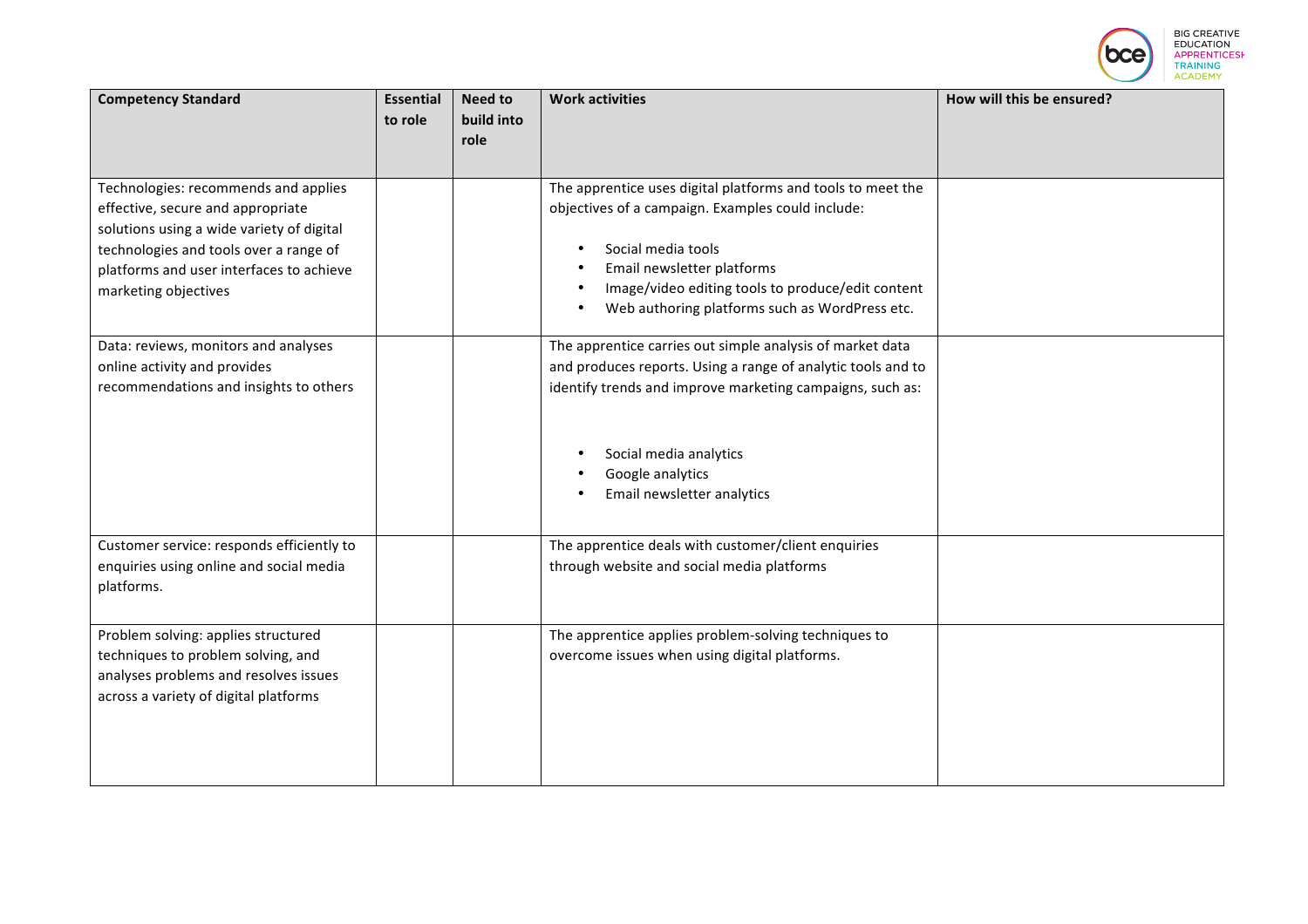|                                                                                                                                                                                                                                      |                             |                                      |                                                                                                                                                                                                                                                                             | <b>EDUCATION</b><br><b>TRAINING</b><br><b>ACADEMY</b> | <b>BIG CREATIVE</b><br><b>NTICESH</b> |
|--------------------------------------------------------------------------------------------------------------------------------------------------------------------------------------------------------------------------------------|-----------------------------|--------------------------------------|-----------------------------------------------------------------------------------------------------------------------------------------------------------------------------------------------------------------------------------------------------------------------------|-------------------------------------------------------|---------------------------------------|
| <b>Competency Standard</b>                                                                                                                                                                                                           | <b>Essential</b><br>to role | <b>Need to</b><br>build into<br>role | <b>Work activities</b>                                                                                                                                                                                                                                                      | How will this be ensured?                             |                                       |
| Technologies: recommends and applies<br>effective, secure and appropriate<br>solutions using a wide variety of digital<br>technologies and tools over a range of<br>platforms and user interfaces to achieve<br>marketing objectives |                             |                                      | The apprentice uses digital platforms and tools to meet the<br>objectives of a campaign. Examples could include:<br>Social media tools<br>Email newsletter platforms<br>Image/video editing tools to produce/edit content<br>Web authoring platforms such as WordPress etc. |                                                       |                                       |
| Data: reviews, monitors and analyses<br>online activity and provides<br>recommendations and insights to others                                                                                                                       |                             |                                      | The apprentice carries out simple analysis of market data<br>and produces reports. Using a range of analytic tools and to<br>identify trends and improve marketing campaigns, such as:<br>Social media analytics<br>Google analytics<br>Email newsletter analytics          |                                                       |                                       |
| Customer service: responds efficiently to<br>enquiries using online and social media<br>platforms.                                                                                                                                   |                             |                                      | The apprentice deals with customer/client enquiries<br>through website and social media platforms                                                                                                                                                                           |                                                       |                                       |
| Problem solving: applies structured<br>techniques to problem solving, and<br>analyses problems and resolves issues<br>across a variety of digital platforms                                                                          |                             |                                      | The apprentice applies problem-solving techniques to<br>overcome issues when using digital platforms.                                                                                                                                                                       |                                                       |                                       |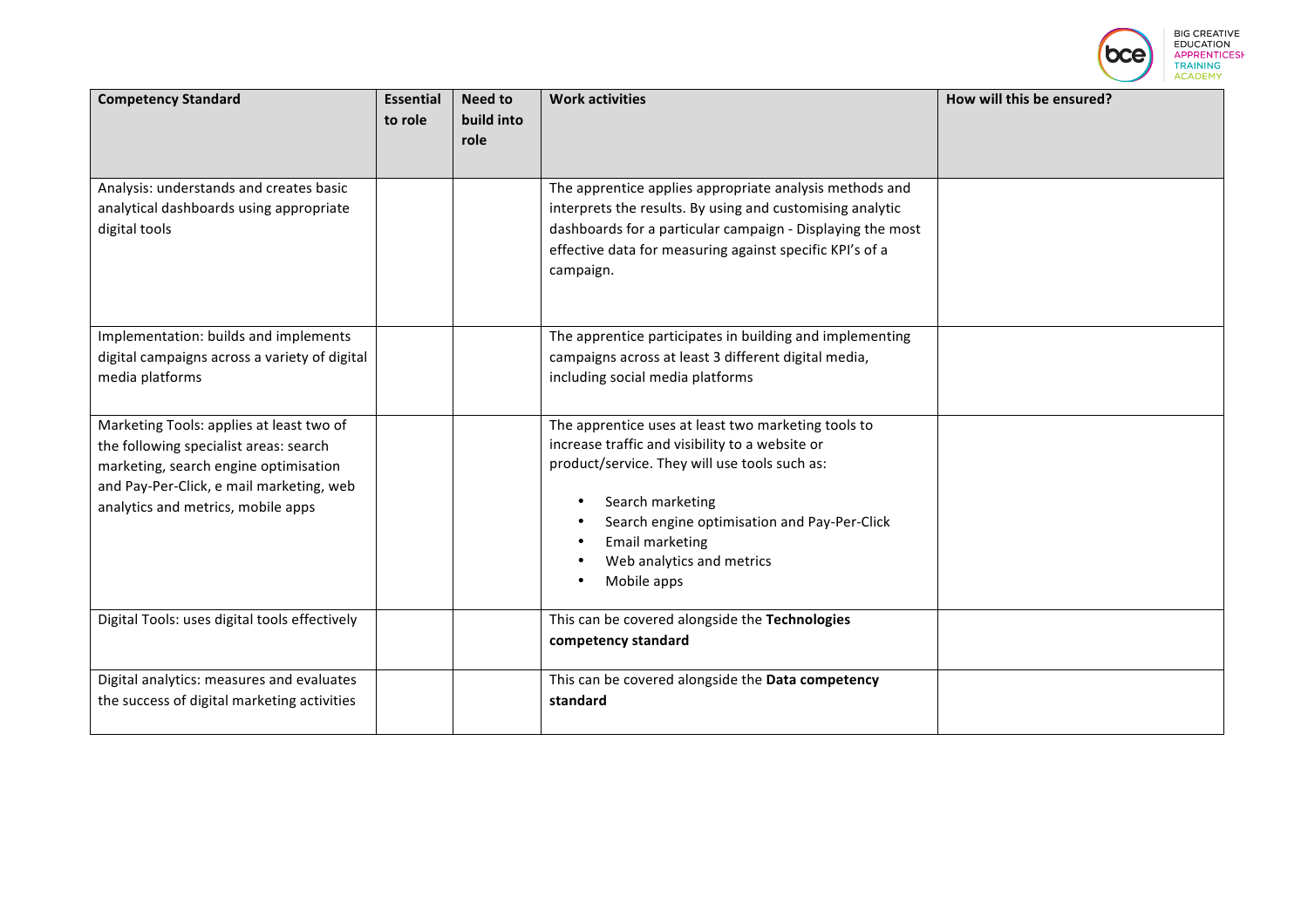|                                                                                                                                                                                                               |                             |                               |                                                                                                                                                                                                                                                                                                   | <b>BIG CREATIVE</b><br><b>EDUCATION</b><br><b>APPRENTICESH</b><br><b>TRAINING</b><br><b>ACADEMY</b> |
|---------------------------------------------------------------------------------------------------------------------------------------------------------------------------------------------------------------|-----------------------------|-------------------------------|---------------------------------------------------------------------------------------------------------------------------------------------------------------------------------------------------------------------------------------------------------------------------------------------------|-----------------------------------------------------------------------------------------------------|
| <b>Competency Standard</b>                                                                                                                                                                                    | <b>Essential</b><br>to role | Need to<br>build into<br>role | <b>Work activities</b>                                                                                                                                                                                                                                                                            | How will this be ensured?                                                                           |
| Analysis: understands and creates basic<br>analytical dashboards using appropriate<br>digital tools                                                                                                           |                             |                               | The apprentice applies appropriate analysis methods and<br>interprets the results. By using and customising analytic<br>dashboards for a particular campaign - Displaying the most<br>effective data for measuring against specific KPI's of a<br>campaign.                                       |                                                                                                     |
| Implementation: builds and implements<br>digital campaigns across a variety of digital<br>media platforms                                                                                                     |                             |                               | The apprentice participates in building and implementing<br>campaigns across at least 3 different digital media,<br>including social media platforms                                                                                                                                              |                                                                                                     |
| Marketing Tools: applies at least two of<br>the following specialist areas: search<br>marketing, search engine optimisation<br>and Pay-Per-Click, e mail marketing, web<br>analytics and metrics, mobile apps |                             |                               | The apprentice uses at least two marketing tools to<br>increase traffic and visibility to a website or<br>product/service. They will use tools such as:<br>Search marketing<br>Search engine optimisation and Pay-Per-Click<br><b>Email marketing</b><br>Web analytics and metrics<br>Mobile apps |                                                                                                     |
| Digital Tools: uses digital tools effectively                                                                                                                                                                 |                             |                               | This can be covered alongside the Technologies<br>competency standard                                                                                                                                                                                                                             |                                                                                                     |
| Digital analytics: measures and evaluates<br>the success of digital marketing activities                                                                                                                      |                             |                               | This can be covered alongside the Data competency<br>standard                                                                                                                                                                                                                                     |                                                                                                     |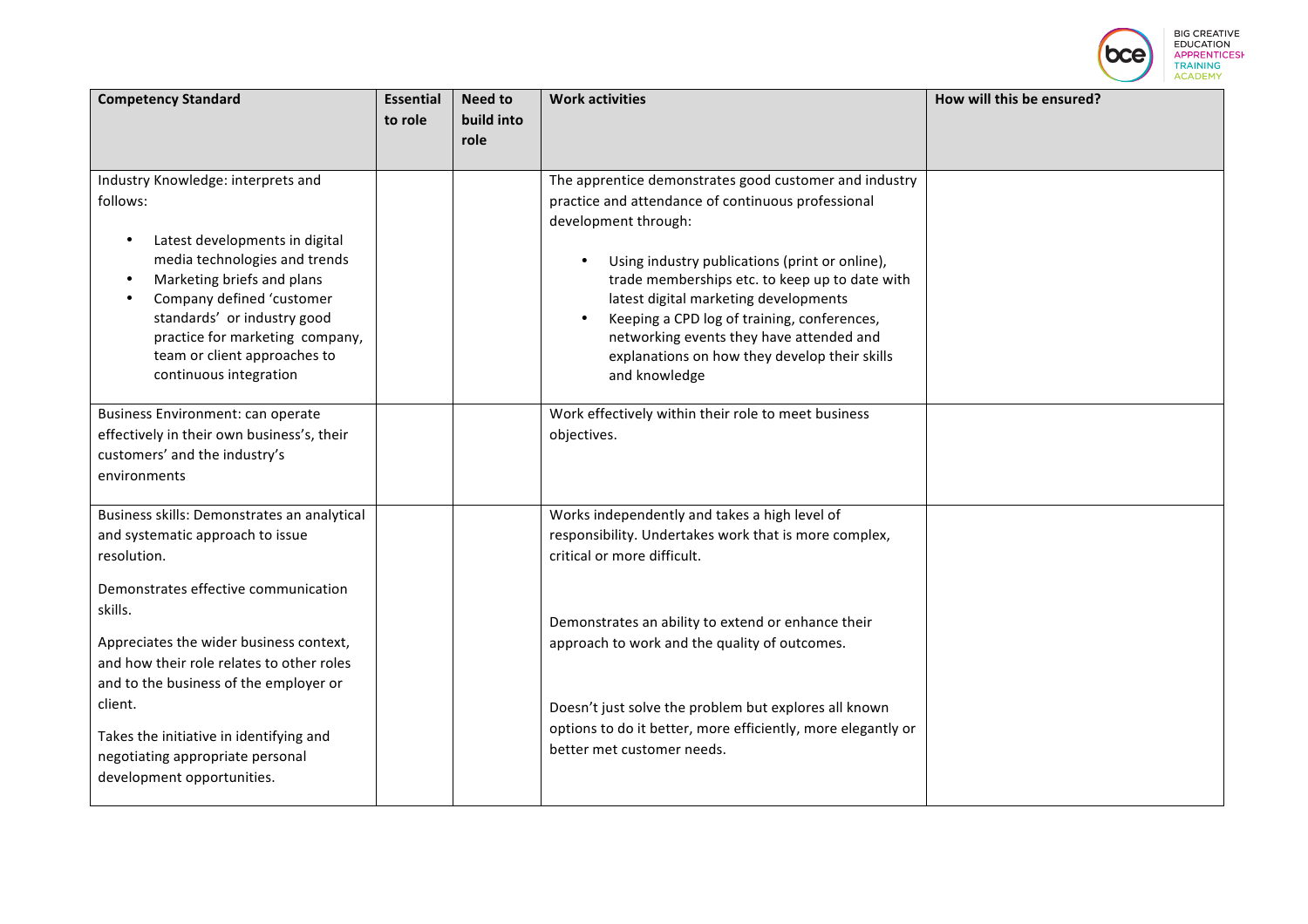|                                                                                                                                                                                                                                                                                                                                    |                             |                                      |                                                                                                                                                                                                                                                                                                                                                                                                                                                |                           | <b>BIG CREATIVE</b><br><b>EDUCATION</b><br><b>TRAINING</b><br><b>ACADEMY</b> |
|------------------------------------------------------------------------------------------------------------------------------------------------------------------------------------------------------------------------------------------------------------------------------------------------------------------------------------|-----------------------------|--------------------------------------|------------------------------------------------------------------------------------------------------------------------------------------------------------------------------------------------------------------------------------------------------------------------------------------------------------------------------------------------------------------------------------------------------------------------------------------------|---------------------------|------------------------------------------------------------------------------|
| <b>Competency Standard</b>                                                                                                                                                                                                                                                                                                         | <b>Essential</b><br>to role | <b>Need to</b><br>build into<br>role | <b>Work activities</b>                                                                                                                                                                                                                                                                                                                                                                                                                         | How will this be ensured? |                                                                              |
| Industry Knowledge: interprets and<br>follows:<br>Latest developments in digital<br>media technologies and trends<br>Marketing briefs and plans<br>$\bullet$<br>Company defined 'customer<br>$\bullet$<br>standards' or industry good<br>practice for marketing company,<br>team or client approaches to<br>continuous integration |                             |                                      | The apprentice demonstrates good customer and industry<br>practice and attendance of continuous professional<br>development through:<br>Using industry publications (print or online),<br>trade memberships etc. to keep up to date with<br>latest digital marketing developments<br>Keeping a CPD log of training, conferences,<br>networking events they have attended and<br>explanations on how they develop their skills<br>and knowledge |                           |                                                                              |
| Business Environment: can operate<br>effectively in their own business's, their<br>customers' and the industry's<br>environments                                                                                                                                                                                                   |                             |                                      | Work effectively within their role to meet business<br>objectives.                                                                                                                                                                                                                                                                                                                                                                             |                           |                                                                              |
| Business skills: Demonstrates an analytical<br>and systematic approach to issue<br>resolution.<br>Demonstrates effective communication<br>skills.                                                                                                                                                                                  |                             |                                      | Works independently and takes a high level of<br>responsibility. Undertakes work that is more complex,<br>critical or more difficult.                                                                                                                                                                                                                                                                                                          |                           |                                                                              |
| Appreciates the wider business context,<br>and how their role relates to other roles<br>and to the business of the employer or<br>client.<br>Takes the initiative in identifying and<br>negotiating appropriate personal<br>development opportunities.                                                                             |                             |                                      | Demonstrates an ability to extend or enhance their<br>approach to work and the quality of outcomes.<br>Doesn't just solve the problem but explores all known<br>options to do it better, more efficiently, more elegantly or<br>better met customer needs.                                                                                                                                                                                     |                           |                                                                              |
|                                                                                                                                                                                                                                                                                                                                    |                             |                                      |                                                                                                                                                                                                                                                                                                                                                                                                                                                |                           |                                                                              |